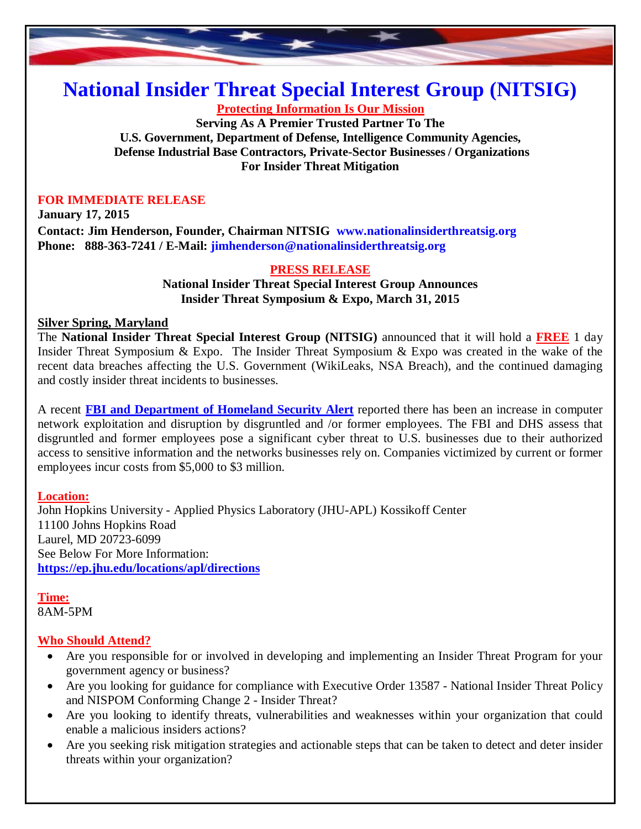

# **National Insider Threat Special Interest Group (NITSIG)**

**Protecting Information Is Our Mission**

**Serving As A Premier Trusted Partner To The U.S. Government, Department of Defense, Intelligence Community Agencies, Defense Industrial Base Contractors, Private-Sector Businesses / Organizations For Insider Threat Mitigation**

#### **FOR IMMEDIATE RELEASE**

**January 17, 2015 Contact: Jim Henderson, Founder, Chairman NITSIG www.nationalinsiderthreatsig.org Phone: 888-363-7241 / E-Mail: jimhenderson@nationalinsiderthreatsig.org**

### **PRESS RELEASE**

**National Insider Threat Special Interest Group Announces Insider Threat Symposium & Expo, March 31, 2015**

#### **Silver Spring, Maryland**

The **National Insider Threat Special Interest Group (NITSIG)** announced that it will hold a **FREE** 1 day Insider Threat Symposium & Expo. The Insider Threat Symposium & Expo was created in the wake of the recent data breaches affecting the U.S. Government (WikiLeaks, NSA Breach), and the continued damaging and costly insider threat incidents to businesses.

A recent **FBI and [Department](http://www.ic3.gov/media/2014/140923.aspx) of Homeland Security Alert** reported there has been an increase in computer network exploitation and disruption by disgruntled and /or former employees. The FBI and DHS assess that disgruntled and former employees pose a significant cyber threat to U.S. businesses due to their authorized access to sensitive information and the networks businesses rely on. Companies victimized by current or former employees incur costs from \$5,000 to \$3 million.

## **Location:**

John Hopkins University - Applied Physics Laboratory (JHU-APL) Kossikoff Center 11100 Johns Hopkins Road Laurel, MD 20723-6099 See Below For More Information: **https://ep.jhu.edu/locations/apl/directions**

**Time:** 8AM-5PM

## **Who Should Attend?**

- Are you responsible for or involved in developing and implementing an Insider Threat Program for your government agency or business?
- Are you looking for guidance for compliance with Executive Order 13587 National Insider Threat Policy and NISPOM Conforming Change 2 - Insider Threat?
- Are you looking to identify threats, vulnerabilities and weaknesses within your organization that could enable a malicious insiders actions?
- Are you seeking risk mitigation strategies and actionable steps that can be taken to detect and deter insider threats within your organization?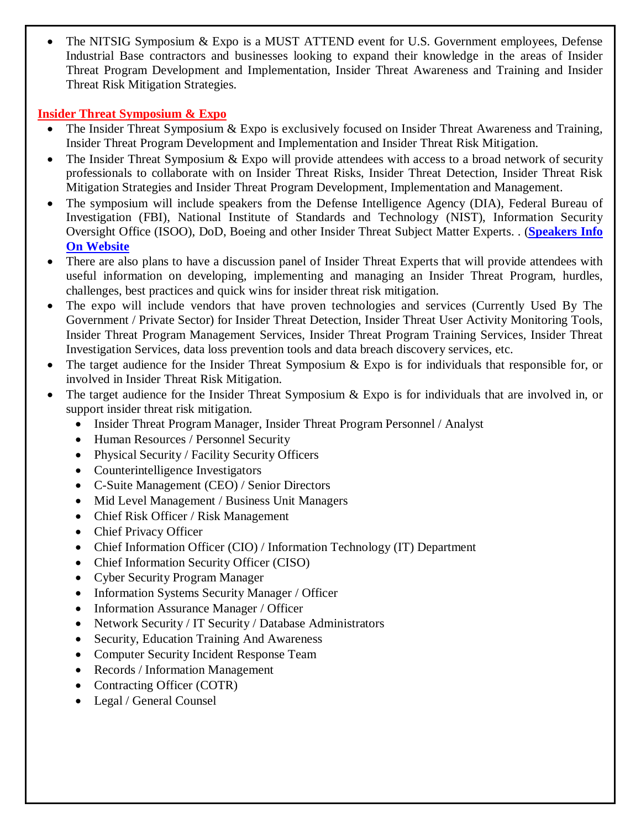The NITSIG Symposium & Expo is a MUST ATTEND event for U.S. Government employees, Defense Industrial Base contractors and businesses looking to expand their knowledge in the areas of Insider Threat Program Development and Implementation, Insider Threat Awareness and Training and Insider Threat Risk Mitigation Strategies.

# **Insider Threat Symposium & Expo**

- The Insider Threat Symposium & Expo is exclusively focused on Insider Threat Awareness and Training, Insider Threat Program Development and Implementation and Insider Threat Risk Mitigation.
- The Insider Threat Symposium & Expo will provide attendees with access to a broad network of security professionals to collaborate with on Insider Threat Risks, Insider Threat Detection, Insider Threat Risk Mitigation Strategies and Insider Threat Program Development, Implementation and Management.
- The symposium will include speakers from the Defense Intelligence Agency (DIA), Federal Bureau of Investigation (FBI), National Institute of Standards and Technology (NIST), Information Security Oversight Office (ISOO), DoD, Boeing and other Insider Threat Subject Matter Experts. . (**[Speakers](http://nationalinsiderthreatsig.org/nitsig-insiderthreatsymposiumexpo.html) Info On Website**
- There are also plans to have a discussion panel of Insider Threat Experts that will provide attendees with useful information on developing, implementing and managing an Insider Threat Program, hurdles, challenges, best practices and quick wins for insider threat risk mitigation.
- The expo will include vendors that have proven technologies and services (Currently Used By The Government / Private Sector) for Insider Threat Detection, Insider Threat User Activity Monitoring Tools, Insider Threat Program Management Services, Insider Threat Program Training Services, Insider Threat Investigation Services, data loss prevention tools and data breach discovery services, etc.
- The target audience for the Insider Threat Symposium & Expo is for individuals that responsible for, or involved in Insider Threat Risk Mitigation.
- The target audience for the Insider Threat Symposium & Expo is for individuals that are involved in, or support insider threat risk mitigation.
	- Insider Threat Program Manager, Insider Threat Program Personnel / Analyst
	- Human Resources / Personnel Security
	- Physical Security / Facility Security Officers
	- Counterintelligence Investigators
	- C-Suite Management (CEO) / Senior Directors
	- Mid Level Management / Business Unit Managers
	- Chief Risk Officer / Risk Management
	- Chief Privacy Officer
	- Chief Information Officer (CIO) / Information Technology (IT) Department
	- Chief Information Security Officer (CISO)
	- Cyber Security Program Manager
	- Information Systems Security Manager / Officer
	- Information Assurance Manager / Officer
	- Network Security / IT Security / Database Administrators
	- Security, Education Training And Awareness
	- Computer Security Incident Response Team
	- Records / Information Management
	- Contracting Officer (COTR)
	- Legal / General Counsel